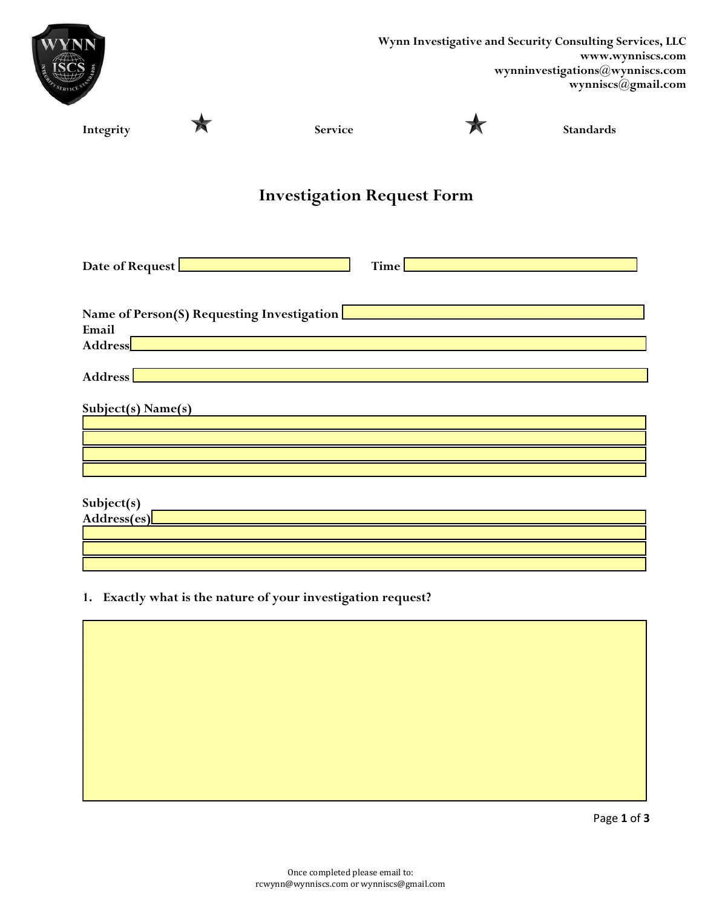|                               |                               |                                                                                                                                                                                                                                                                                                                                                                                                                                | Wynn Investigative and Security Consulting Services, LLC<br>www.wynniscs.com<br>${\bf wynninvestigations} @ {\bf wynniscs.com}$<br>wynniscs@gmail.com |
|-------------------------------|-------------------------------|--------------------------------------------------------------------------------------------------------------------------------------------------------------------------------------------------------------------------------------------------------------------------------------------------------------------------------------------------------------------------------------------------------------------------------|-------------------------------------------------------------------------------------------------------------------------------------------------------|
| Integrity                     |                               | Service                                                                                                                                                                                                                                                                                                                                                                                                                        | <b>Standards</b>                                                                                                                                      |
|                               |                               | <b>Investigation Request Form</b>                                                                                                                                                                                                                                                                                                                                                                                              |                                                                                                                                                       |
|                               | Date of Request Entertainment | Time                                                                                                                                                                                                                                                                                                                                                                                                                           |                                                                                                                                                       |
| Email<br>Address              |                               | Name of Person(S) Requesting Investigation <b>Product of Australian Contract Contract Contract Contract Contract Contract Contract Contract Contract Contract Contract Contract Contract Contract Contract Contract Contract Con</b><br><u> 1989 - Johann Stein, mars an de Britannich (b. 1989)</u><br><u> 1989 - An Dùbhlachd an Dùbhlachd ann an Dùbhlachd ann an Dùbhlachd ann an Dùbhlachd ann an Dùbhlachd ann an Dù</u> |                                                                                                                                                       |
| Address<br>Subject(s) Name(s) |                               | <u> 1989 - Johann Stein, marwolaethau (b. 1989)</u>                                                                                                                                                                                                                                                                                                                                                                            |                                                                                                                                                       |
|                               |                               |                                                                                                                                                                                                                                                                                                                                                                                                                                |                                                                                                                                                       |
| Subject(s)<br>Address(es)     |                               | <u> 1989 - Johann Barbara, marka a shekara tsa 1989 - An tsa 1989 - An tsa 1989 - An tsa 1989 - An tsa 1989 - An</u>                                                                                                                                                                                                                                                                                                           |                                                                                                                                                       |
|                               |                               | 1. Exactly what is the nature of your investigation request?                                                                                                                                                                                                                                                                                                                                                                   |                                                                                                                                                       |
|                               |                               |                                                                                                                                                                                                                                                                                                                                                                                                                                |                                                                                                                                                       |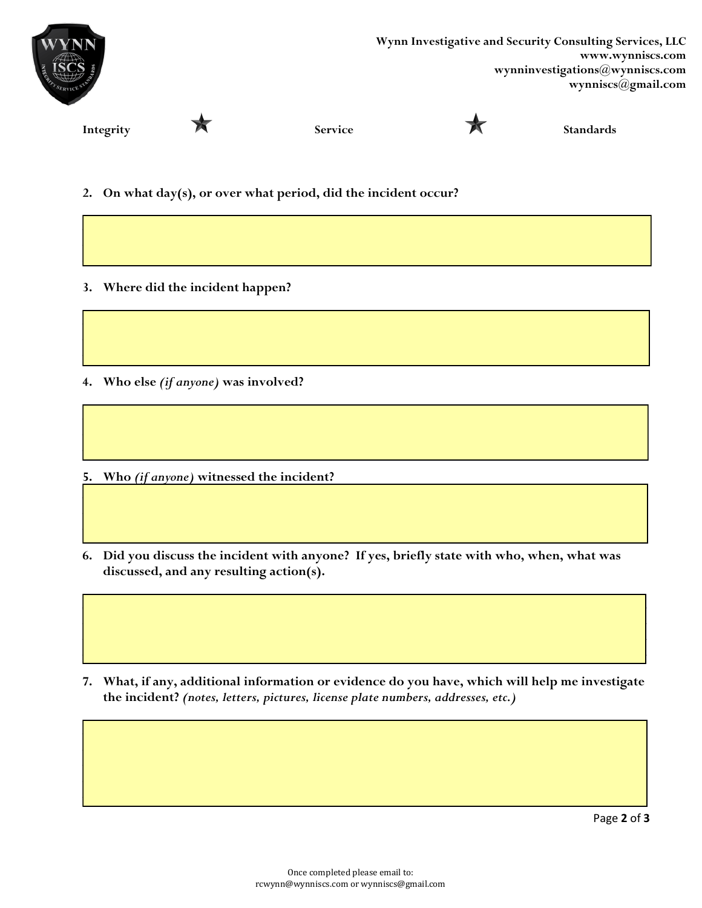

- 2. On what day(s), or over what period, did the incident occur?
- 3. Where did the incident happen?
- 4. Who else (if anyone) was involved?
- 5. Who (if anyone) witnessed the incident?
- 6. Did you discuss the incident with anyone? If yes, briefly state with who, when, what was discussed, and any resulting action(s).

7. What, if any, additional information or evidence do you have, which will help me investigate the incident? (notes, letters, pictures, license plate numbers, addresses, etc.)